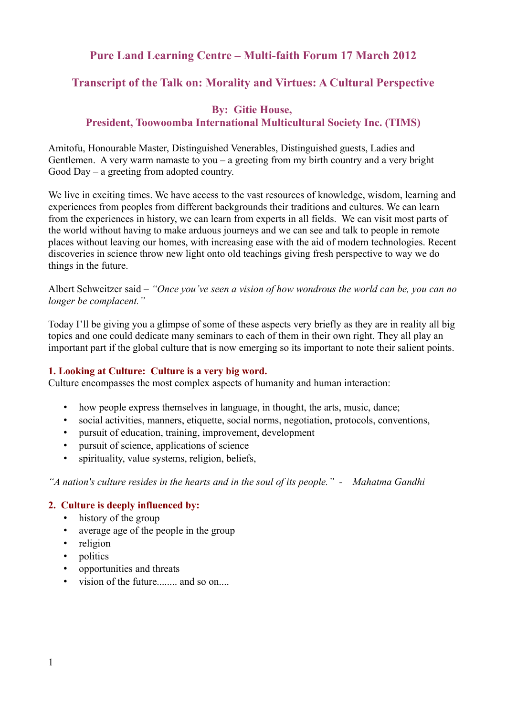# **Pure Land Learning Centre – Multi-faith Forum 17 March 2012**

# **Transcript of the Talk on: Morality and Virtues: A Cultural Perspective**

## **By: Gitie House, President, Toowoomba International Multicultural Society Inc. (TIMS)**

Amitofu, Honourable Master, Distinguished Venerables, Distinguished guests, Ladies and Gentlemen. A very warm namaste to you – a greeting from my birth country and a very bright Good Day – a greeting from adopted country.

We live in exciting times. We have access to the vast resources of knowledge, wisdom, learning and experiences from peoples from different backgrounds their traditions and cultures. We can learn from the experiences in history, we can learn from experts in all fields. We can visit most parts of the world without having to make arduous journeys and we can see and talk to people in remote places without leaving our homes, with increasing ease with the aid of modern technologies. Recent discoveries in science throw new light onto old teachings giving fresh perspective to way we do things in the future.

Albert Schweitzer said – *"Once you've seen a vision of how wondrous the world can be, you can no longer be complacent."*

Today I'll be giving you a glimpse of some of these aspects very briefly as they are in reality all big topics and one could dedicate many seminars to each of them in their own right. They all play an important part if the global culture that is now emerging so its important to note their salient points.

#### **1. Looking at Culture: Culture is a very big word.**

Culture encompasses the most complex aspects of humanity and human interaction:

- how people express themselves in language, in thought, the arts, music, dance;
- social activities, manners, etiquette, social norms, negotiation, protocols, conventions,
- pursuit of education, training, improvement, development
- pursuit of science, applications of science
- spirituality, value systems, religion, beliefs,

*"A nation's culture resides in the hearts and in the soul of its people." - Mahatma Gandhi* 

#### **2. Culture is deeply influenced by:**

- history of the group
- average age of the people in the group
- religion
- politics
- opportunities and threats
- vision of the future........ and so on....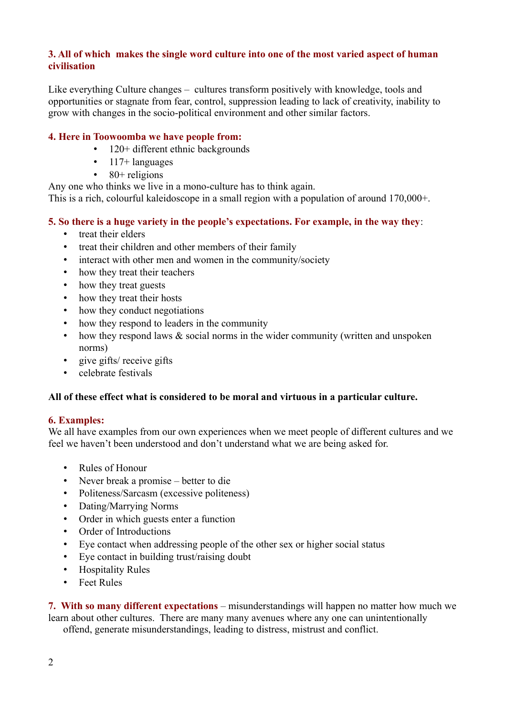### **3. All of which makes the single word culture into one of the most varied aspect of human civilisation**

Like everything Culture changes – cultures transform positively with knowledge, tools and opportunities or stagnate from fear, control, suppression leading to lack of creativity, inability to grow with changes in the socio-political environment and other similar factors.

### **4. Here in Toowoomba we have people from:**

- 120+ different ethnic backgrounds
- $\cdot$  117+ languages
- $\cdot$  80+ religions

Any one who thinks we live in a mono-culture has to think again. This is a rich, colourful kaleidoscope in a small region with a population of around 170,000+.

## **5. So there is a huge variety in the people's expectations. For example, in the way they**:

- treat their elders
- treat their children and other members of their family
- interact with other men and women in the community/society
- how they treat their teachers
- how they treat guests
- how they treat their hosts
- how they conduct negotiations
- how they respond to leaders in the community
- how they respond laws  $\&$  social norms in the wider community (written and unspoken norms)
- give gifts/ receive gifts
- celebrate festivals

#### **All of these effect what is considered to be moral and virtuous in a particular culture.**

#### **6. Examples:**

We all have examples from our own experiences when we meet people of different cultures and we feel we haven't been understood and don't understand what we are being asked for.

- Rules of Honour
- Never break a promise better to die
- Politeness/Sarcasm (excessive politeness)
- Dating/Marrying Norms
- Order in which guests enter a function
- Order of Introductions
- Eye contact when addressing people of the other sex or higher social status
- Eye contact in building trust/raising doubt
- Hospitality Rules
- Feet Rules

**7. With so many different expectations** – misunderstandings will happen no matter how much we learn about other cultures. There are many many avenues where any one can unintentionally offend, generate misunderstandings, leading to distress, mistrust and conflict.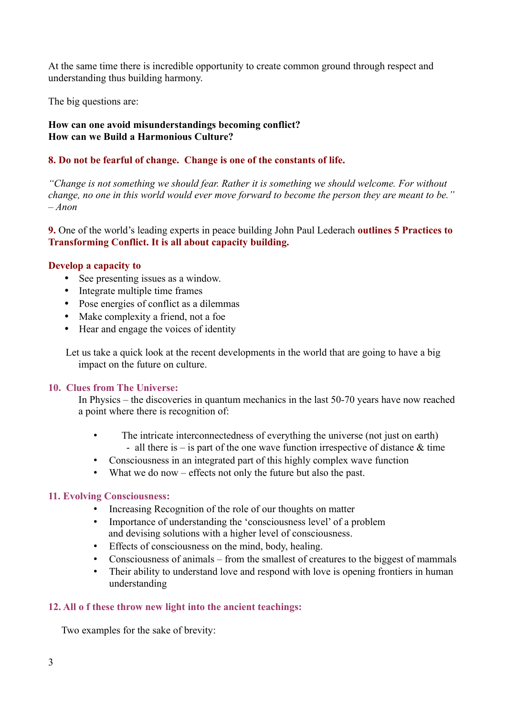At the same time there is incredible opportunity to create common ground through respect and understanding thus building harmony.

The big questions are:

## **How can one avoid misunderstandings becoming conflict? How can we Build a Harmonious Culture?**

## **8. Do not be fearful of change. Change is one of the constants of life.**

*"Change is not something we should fear. Rather it is something we should welcome. For without change, no one in this world would ever move forward to become the person they are meant to be." – Anon*

**9.** One of the world's leading experts in peace building John Paul Lederach **outlines 5 Practices to Transforming Conflict. It is all about capacity building.**

## **Develop a capacity to**

- See presenting issues as a window.
- Integrate multiple time frames
- Pose energies of conflict as a dilemmas
- Make complexity a friend, not a foe
- Hear and engage the voices of identity

 Let us take a quick look at the recent developments in the world that are going to have a big impact on the future on culture.

#### **10. Clues from The Universe:**

In Physics – the discoveries in quantum mechanics in the last 50-70 years have now reached a point where there is recognition of:

- The intricate interconnectedness of everything the universe (not just on earth) - all there is – is part of the one wave function irrespective of distance  $\&$  time
- Consciousness in an integrated part of this highly complex wave function
- What we do now effects not only the future but also the past.

#### **11. Evolving Consciousness:**

- Increasing Recognition of the role of our thoughts on matter
- Importance of understanding the 'consciousness level' of a problem and devising solutions with a higher level of consciousness.
- Effects of consciousness on the mind, body, healing.
- Consciousness of animals from the smallest of creatures to the biggest of mammals
- Their ability to understand love and respond with love is opening frontiers in human understanding

## **12. All o f these throw new light into the ancient teachings:**

Two examples for the sake of brevity: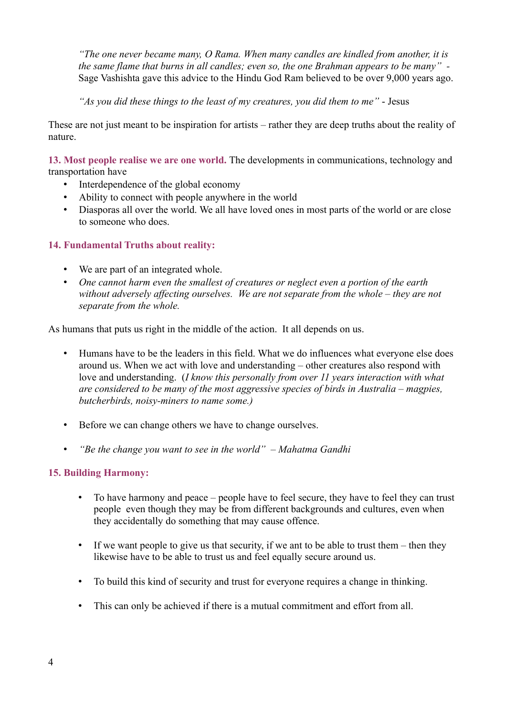*"The one never became many, O Rama. When many candles are kindled from another, it is the same flame that burns in all candles; even so, the one Brahman appears to be many" -* Sage Vashishta gave this advice to the Hindu God Ram believed to be over 9,000 years ago.

*"As you did these things to the least of my creatures, you did them to me"* - Jesus

These are not just meant to be inspiration for artists – rather they are deep truths about the reality of nature.

**13. Most people realise we are one world.** The developments in communications, technology and transportation have

- Interdependence of the global economy
- Ability to connect with people anywhere in the world
- Diasporas all over the world. We all have loved ones in most parts of the world or are close to someone who does.

## **14. Fundamental Truths about reality:**

- We are part of an integrated whole.
- *One cannot harm even the smallest of creatures or neglect even a portion of the earth without adversely affecting ourselves. We are not separate from the whole – they are not separate from the whole.*

As humans that puts us right in the middle of the action. It all depends on us.

- Humans have to be the leaders in this field. What we do influences what everyone else does around us. When we act with love and understanding – other creatures also respond with love and understanding. (*I know this personally from over 11 years interaction with what are considered to be many of the most aggressive species of birds in Australia – magpies, butcherbirds, noisy-miners to name some.)*
- Before we can change others we have to change ourselves.
- *"Be the change you want to see in the world" Mahatma Gandhi*

## **15. Building Harmony:**

- To have harmony and peace people have to feel secure, they have to feel they can trust people even though they may be from different backgrounds and cultures, even when they accidentally do something that may cause offence.
- If we want people to give us that security, if we ant to be able to trust them then they likewise have to be able to trust us and feel equally secure around us.
- To build this kind of security and trust for everyone requires a change in thinking.
- This can only be achieved if there is a mutual commitment and effort from all.